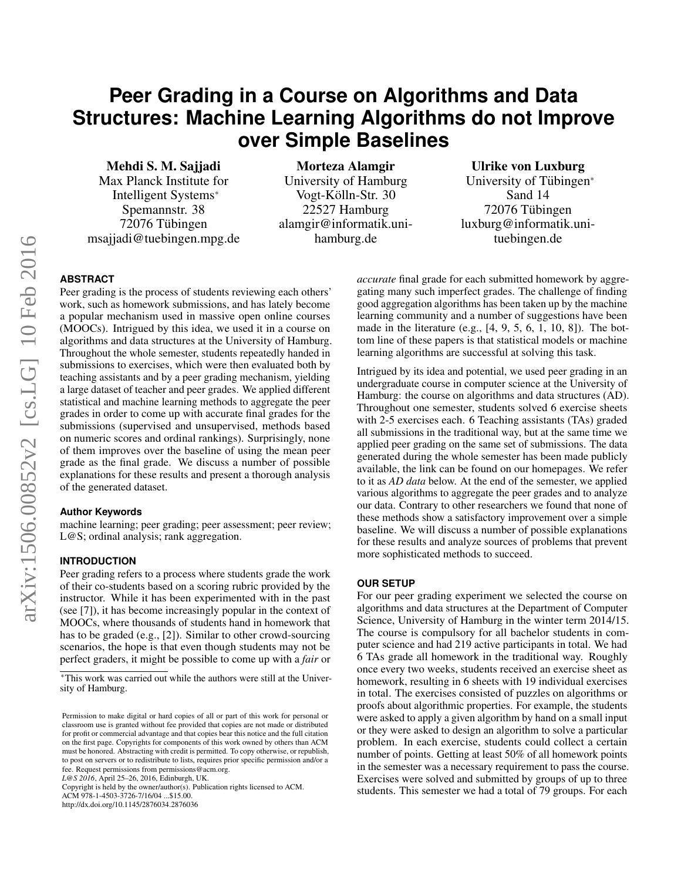# **Peer Grading in a Course on Algorithms and Data Structures: Machine Learning Algorithms do not Improve over Simple Baselines**

Mehdi S. M. Sajjadi Max Planck Institute for Intelligent Systems<sup>∗</sup> Spemannstr. 38 72076 Tubingen ¨ msajjadi@tuebingen.mpg.de

Morteza Alamgir University of Hamburg Vogt-Kölln-Str. 30 22527 Hamburg alamgir@informatik.unihamburg.de

# Ulrike von Luxburg

University of Tübingen\* Sand 14 72076 Tübingen luxburg@informatik.unituebingen.de

# **ABSTRACT**

Peer grading is the process of students reviewing each others' work, such as homework submissions, and has lately become a popular mechanism used in massive open online courses (MOOCs). Intrigued by this idea, we used it in a course on algorithms and data structures at the University of Hamburg. Throughout the whole semester, students repeatedly handed in submissions to exercises, which were then evaluated both by teaching assistants and by a peer grading mechanism, yielding a large dataset of teacher and peer grades. We applied different statistical and machine learning methods to aggregate the peer grades in order to come up with accurate final grades for the submissions (supervised and unsupervised, methods based on numeric scores and ordinal rankings). Surprisingly, none of them improves over the baseline of using the mean peer grade as the final grade. We discuss a number of possible explanations for these results and present a thorough analysis of the generated dataset.

#### **Author Keywords**

machine learning; peer grading; peer assessment; peer review; L@S; ordinal analysis; rank aggregation.

## **INTRODUCTION**

Peer grading refers to a process where students grade the work of their co-students based on a scoring rubric provided by the instructor. While it has been experimented with in the past (see [\[7\]](#page-9-0)), it has become increasingly popular in the context of MOOCs, where thousands of students hand in homework that has to be graded (e.g., [\[2\]](#page-9-1)). Similar to other crowd-sourcing scenarios, the hope is that even though students may not be perfect graders, it might be possible to come up with a *fair* or

*L@S 2016*, April 25–26, 2016, Edinburgh, UK.

Copyright is held by the owner/author(s). Publication rights licensed to ACM.

ACM 978-1-4503-3726-7/16/04 ...\$15.00.

http://dx.doi.org/10.1145/2876034.2876036

*accurate* final grade for each submitted homework by aggregating many such imperfect grades. The challenge of finding good aggregation algorithms has been taken up by the machine learning community and a number of suggestions have been made in the literature (e.g., [\[4,](#page-9-2) [9,](#page-9-3) [5,](#page-9-4) [6,](#page-9-5) [1,](#page-9-6) [10,](#page-9-7) [8\]](#page-9-8)). The bottom line of these papers is that statistical models or machine learning algorithms are successful at solving this task.

Intrigued by its idea and potential, we used peer grading in an undergraduate course in computer science at the University of Hamburg: the course on algorithms and data structures (AD). Throughout one semester, students solved 6 exercise sheets with 2-5 exercises each. 6 Teaching assistants (TAs) graded all submissions in the traditional way, but at the same time we applied peer grading on the same set of submissions. The data generated during the whole semester has been made publicly available, the link can be found on our homepages. We refer to it as *AD data* below. At the end of the semester, we applied various algorithms to aggregate the peer grades and to analyze our data. Contrary to other researchers we found that none of these methods show a satisfactory improvement over a simple baseline. We will discuss a number of possible explanations for these results and analyze sources of problems that prevent more sophisticated methods to succeed.

### **OUR SETUP**

For our peer grading experiment we selected the course on algorithms and data structures at the Department of Computer Science, University of Hamburg in the winter term 2014/15. The course is compulsory for all bachelor students in computer science and had 219 active participants in total. We had 6 TAs grade all homework in the traditional way. Roughly once every two weeks, students received an exercise sheet as homework, resulting in 6 sheets with 19 individual exercises in total. The exercises consisted of puzzles on algorithms or proofs about algorithmic properties. For example, the students were asked to apply a given algorithm by hand on a small input or they were asked to design an algorithm to solve a particular problem. In each exercise, students could collect a certain number of points. Getting at least 50% of all homework points in the semester was a necessary requirement to pass the course. Exercises were solved and submitted by groups of up to three students. This semester we had a total of 79 groups. For each

<sup>∗</sup>This work was carried out while the authors were still at the University of Hamburg.

Permission to make digital or hard copies of all or part of this work for personal or classroom use is granted without fee provided that copies are not made or distributed for profit or commercial advantage and that copies bear this notice and the full citation on the first page. Copyrights for components of this work owned by others than ACM must be honored. Abstracting with credit is permitted. To copy otherwise, or republish, to post on servers or to redistribute to lists, requires prior specific permission and/or a fee. Request permissions from permissions@acm.org.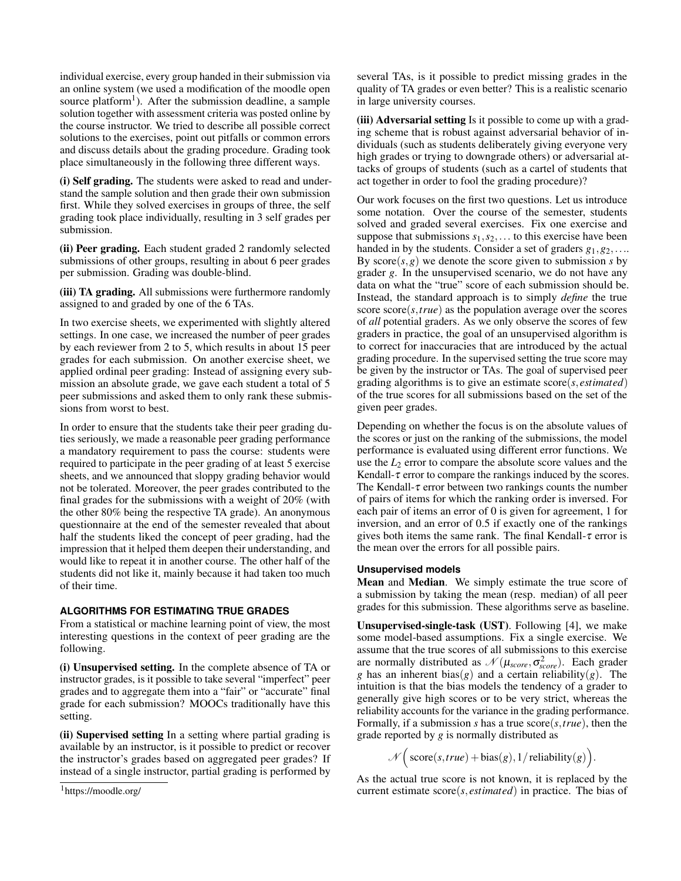individual exercise, every group handed in their submission via an online system (we used a modification of the moodle open source platform<sup>[1](#page-1-0)</sup>). After the submission deadline, a sample solution together with assessment criteria was posted online by the course instructor. We tried to describe all possible correct solutions to the exercises, point out pitfalls or common errors and discuss details about the grading procedure. Grading took place simultaneously in the following three different ways.

(i) Self grading. The students were asked to read and understand the sample solution and then grade their own submission first. While they solved exercises in groups of three, the self grading took place individually, resulting in 3 self grades per submission.

(ii) Peer grading. Each student graded 2 randomly selected submissions of other groups, resulting in about 6 peer grades per submission. Grading was double-blind.

(iii) TA grading. All submissions were furthermore randomly assigned to and graded by one of the 6 TAs.

In two exercise sheets, we experimented with slightly altered settings. In one case, we increased the number of peer grades by each reviewer from 2 to 5, which results in about 15 peer grades for each submission. On another exercise sheet, we applied ordinal peer grading: Instead of assigning every submission an absolute grade, we gave each student a total of 5 peer submissions and asked them to only rank these submissions from worst to best.

In order to ensure that the students take their peer grading duties seriously, we made a reasonable peer grading performance a mandatory requirement to pass the course: students were required to participate in the peer grading of at least 5 exercise sheets, and we announced that sloppy grading behavior would not be tolerated. Moreover, the peer grades contributed to the final grades for the submissions with a weight of 20% (with the other 80% being the respective TA grade). An anonymous questionnaire at the end of the semester revealed that about half the students liked the concept of peer grading, had the impression that it helped them deepen their understanding, and would like to repeat it in another course. The other half of the students did not like it, mainly because it had taken too much of their time.

## **ALGORITHMS FOR ESTIMATING TRUE GRADES**

From a statistical or machine learning point of view, the most interesting questions in the context of peer grading are the following.

(i) Unsupervised setting. In the complete absence of TA or instructor grades, is it possible to take several "imperfect" peer grades and to aggregate them into a "fair" or "accurate" final grade for each submission? MOOCs traditionally have this setting.

(ii) Supervised setting In a setting where partial grading is available by an instructor, is it possible to predict or recover the instructor's grades based on aggregated peer grades? If instead of a single instructor, partial grading is performed by several TAs, is it possible to predict missing grades in the quality of TA grades or even better? This is a realistic scenario in large university courses.

(iii) Adversarial setting Is it possible to come up with a grading scheme that is robust against adversarial behavior of individuals (such as students deliberately giving everyone very high grades or trying to downgrade others) or adversarial attacks of groups of students (such as a cartel of students that act together in order to fool the grading procedure)?

Our work focuses on the first two questions. Let us introduce some notation. Over the course of the semester, students solved and graded several exercises. Fix one exercise and suppose that submissions  $s_1, s_2, \ldots$  to this exercise have been handed in by the students. Consider a set of graders *g*1,*g*2,.... By  $score(s, g)$  we denote the score given to submission *s* by grader *g*. In the unsupervised scenario, we do not have any data on what the "true" score of each submission should be. Instead, the standard approach is to simply *define* the true score score(*s*,*true*) as the population average over the scores of *all* potential graders. As we only observe the scores of few graders in practice, the goal of an unsupervised algorithm is to correct for inaccuracies that are introduced by the actual grading procedure. In the supervised setting the true score may be given by the instructor or TAs. The goal of supervised peer grading algorithms is to give an estimate score(*s*, *estimated*) of the true scores for all submissions based on the set of the given peer grades.

Depending on whether the focus is on the absolute values of the scores or just on the ranking of the submissions, the model performance is evaluated using different error functions. We use the *L*<sup>2</sup> error to compare the absolute score values and the Kendall- $\tau$  error to compare the rankings induced by the scores. The Kendall- $\tau$  error between two rankings counts the number of pairs of items for which the ranking order is inversed. For each pair of items an error of 0 is given for agreement, 1 for inversion, and an error of 0.5 if exactly one of the rankings gives both items the same rank. The final Kendall- $\tau$  error is the mean over the errors for all possible pairs.

## **Unsupervised models**

Mean and Median. We simply estimate the true score of a submission by taking the mean (resp. median) of all peer grades for this submission. These algorithms serve as baseline.

Unsupervised-single-task (UST). Following [\[4\]](#page-9-2), we make some model-based assumptions. Fix a single exercise. We assume that the true scores of all submissions to this exercise are normally distributed as  $\mathcal{N}(\mu_{score}, \sigma_{score}^2)$ . Each grader *g* has an inherent bias(*g*) and a certain reliability(*g*). The intuition is that the bias models the tendency of a grader to generally give high scores or to be very strict, whereas the reliability accounts for the variance in the grading performance. Formally, if a submission *s* has a true score(*s*,*true*), then the grade reported by *g* is normally distributed as

$$
\mathcal{N}\Big(\text{score}(s, true) + \text{bias}(g), 1/\text{reliability}(g)\Big).
$$

As the actual true score is not known, it is replaced by the current estimate score(*s*, *estimated*) in practice. The bias of

<span id="page-1-0"></span><sup>1</sup>https://moodle.org/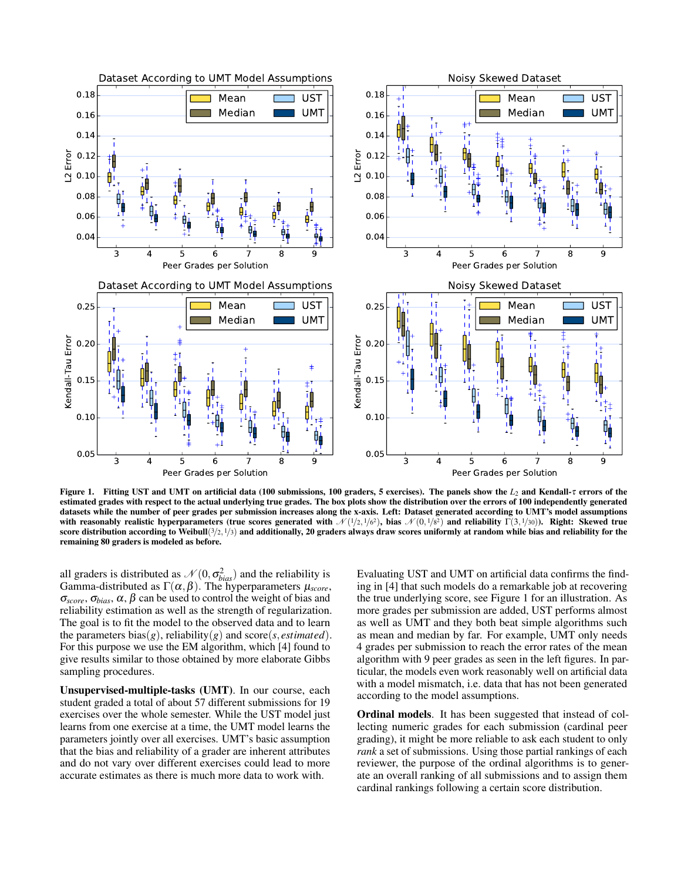

<span id="page-2-0"></span>Figure 1. Fitting UST and UMT on artificial data (100 submissions, 100 graders, 5 exercises). The panels show the *L*<sup>2</sup> and Kendall-τ errors of the estimated grades with respect to the actual underlying true grades. The box plots show the distribution over the errors of 100 independently generated datasets while the number of peer grades per submission increases along the x-axis. Left: Dataset generated according to UMT's model assumptions with reasonably realistic hyperparameters (true scores generated with  $\mathcal{N}(1/2, 1/6^2)$ , bias  $\mathcal{N}(0, 1/8^2)$  and reliability  $\Gamma(3, 1/30)$ ). Right: Skewed true score distribution according to Weibull( $3/2$ ,  $1/3$ ) and additionally, 20 graders always draw scores uniformly at random while bias and reliability for the remaining 80 graders is modeled as before.

all graders is distributed as  $\mathcal{N}(0, \sigma_{bias}^2)$  and the reliability is Gamma-distributed as  $\Gamma(\alpha, \beta)$ . The hyperparameters  $\mu_{\text{score}}$ ,  $\sigma_{score}, \sigma_{bias}, \alpha, \beta$  can be used to control the weight of bias and reliability estimation as well as the strength of regularization. The goal is to fit the model to the observed data and to learn the parameters bias $(g)$ , reliability $(g)$  and score $(s, estimated)$ . For this purpose we use the EM algorithm, which [\[4\]](#page-9-2) found to give results similar to those obtained by more elaborate Gibbs sampling procedures.

Unsupervised-multiple-tasks (UMT). In our course, each student graded a total of about 57 different submissions for 19 exercises over the whole semester. While the UST model just learns from one exercise at a time, the UMT model learns the parameters jointly over all exercises. UMT's basic assumption that the bias and reliability of a grader are inherent attributes and do not vary over different exercises could lead to more accurate estimates as there is much more data to work with.

Evaluating UST and UMT on artificial data confirms the finding in [\[4\]](#page-9-2) that such models do a remarkable job at recovering the true underlying score, see Figure [1](#page-2-0) for an illustration. As more grades per submission are added, UST performs almost as well as UMT and they both beat simple algorithms such as mean and median by far. For example, UMT only needs 4 grades per submission to reach the error rates of the mean algorithm with 9 peer grades as seen in the left figures. In particular, the models even work reasonably well on artificial data with a model mismatch, i.e. data that has not been generated according to the model assumptions.

Ordinal models. It has been suggested that instead of collecting numeric grades for each submission (cardinal peer grading), it might be more reliable to ask each student to only *rank* a set of submissions. Using those partial rankings of each reviewer, the purpose of the ordinal algorithms is to generate an overall ranking of all submissions and to assign them cardinal rankings following a certain score distribution.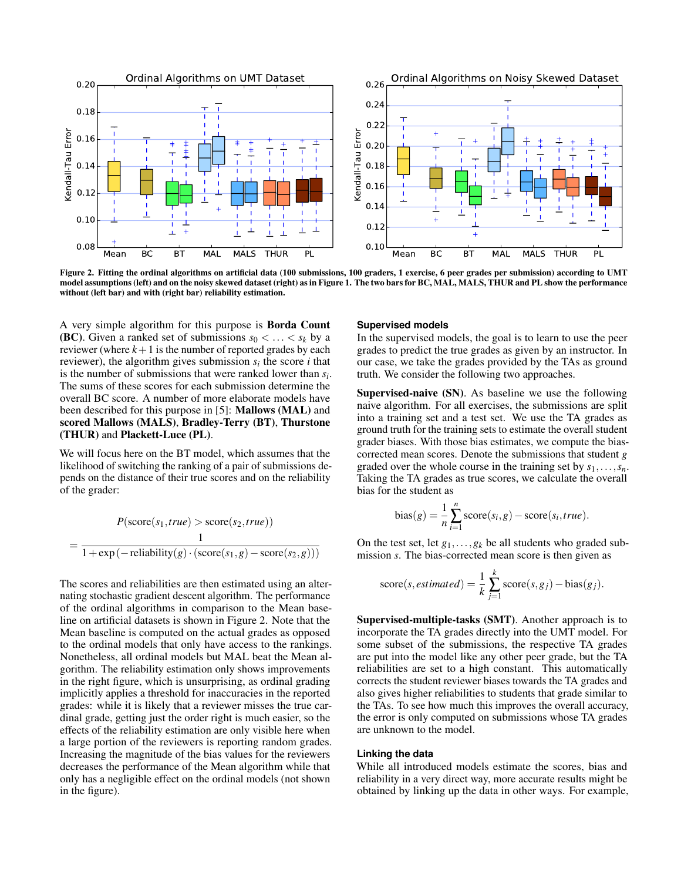

<span id="page-3-0"></span>Figure 2. Fitting the ordinal algorithms on artificial data (100 submissions, 100 graders, 1 exercise, 6 peer grades per submission) according to UMT model assumptions (left) and on the noisy skewed dataset (right) as in Figure [1.](#page-2-0) The two bars for BC, MAL, MALS, THUR and PL show the performance without (left bar) and with (right bar) reliability estimation.

A very simple algorithm for this purpose is Borda Count **(BC)**. Given a ranked set of submissions  $s_0 < \ldots < s_k$  by a reviewer (where  $k+1$  is the number of reported grades by each reviewer), the algorithm gives submission  $s_i$  the score *i* that is the number of submissions that were ranked lower than *s<sup>i</sup>* . The sums of these scores for each submission determine the overall BC score. A number of more elaborate models have been described for this purpose in [\[5\]](#page-9-4): Mallows (MAL) and scored Mallows (MALS), Bradley-Terry (BT), Thurstone (THUR) and Plackett-Luce (PL).

We will focus here on the BT model, which assumes that the likelihood of switching the ranking of a pair of submissions depends on the distance of their true scores and on the reliability of the grader:

$$
P(\text{score}(s_1, true) > \text{score}(s_2, true))
$$
  
= 
$$
\frac{1}{1 + \exp(-\text{reliability}(g) \cdot (\text{score}(s_1, g) - \text{score}(s_2, g)))}
$$

The scores and reliabilities are then estimated using an alternating stochastic gradient descent algorithm. The performance of the ordinal algorithms in comparison to the Mean baseline on artificial datasets is shown in Figure [2.](#page-3-0) Note that the Mean baseline is computed on the actual grades as opposed to the ordinal models that only have access to the rankings. Nonetheless, all ordinal models but MAL beat the Mean algorithm. The reliability estimation only shows improvements in the right figure, which is unsurprising, as ordinal grading implicitly applies a threshold for inaccuracies in the reported grades: while it is likely that a reviewer misses the true cardinal grade, getting just the order right is much easier, so the effects of the reliability estimation are only visible here when a large portion of the reviewers is reporting random grades. Increasing the magnitude of the bias values for the reviewers decreases the performance of the Mean algorithm while that only has a negligible effect on the ordinal models (not shown in the figure).

#### **Supervised models**

In the supervised models, the goal is to learn to use the peer grades to predict the true grades as given by an instructor. In our case, we take the grades provided by the TAs as ground truth. We consider the following two approaches.

Supervised-naive (SN). As baseline we use the following naive algorithm. For all exercises, the submissions are split into a training set and a test set. We use the TA grades as ground truth for the training sets to estimate the overall student grader biases. With those bias estimates, we compute the biascorrected mean scores. Denote the submissions that student *g* graded over the whole course in the training set by *s*1,...,*sn*. Taking the TA grades as true scores, we calculate the overall bias for the student as

bias
$$
(g)
$$
 =  $\frac{1}{n} \sum_{i=1}^{n} \text{score}(s_i, g) - \text{score}(s_i, true).$ 

On the test set, let  $g_1, \ldots, g_k$  be all students who graded submission *s*. The bias-corrected mean score is then given as

score(s, estimated) = 
$$
\frac{1}{k} \sum_{j=1}^{k} \text{score}(s, g_j)
$$
 - bias(g<sub>j</sub>).

Supervised-multiple-tasks (SMT). Another approach is to incorporate the TA grades directly into the UMT model. For some subset of the submissions, the respective TA grades are put into the model like any other peer grade, but the TA reliabilities are set to a high constant. This automatically corrects the student reviewer biases towards the TA grades and also gives higher reliabilities to students that grade similar to the TAs. To see how much this improves the overall accuracy, the error is only computed on submissions whose TA grades are unknown to the model.

#### **Linking the data**

While all introduced models estimate the scores, bias and reliability in a very direct way, more accurate results might be obtained by linking up the data in other ways. For example,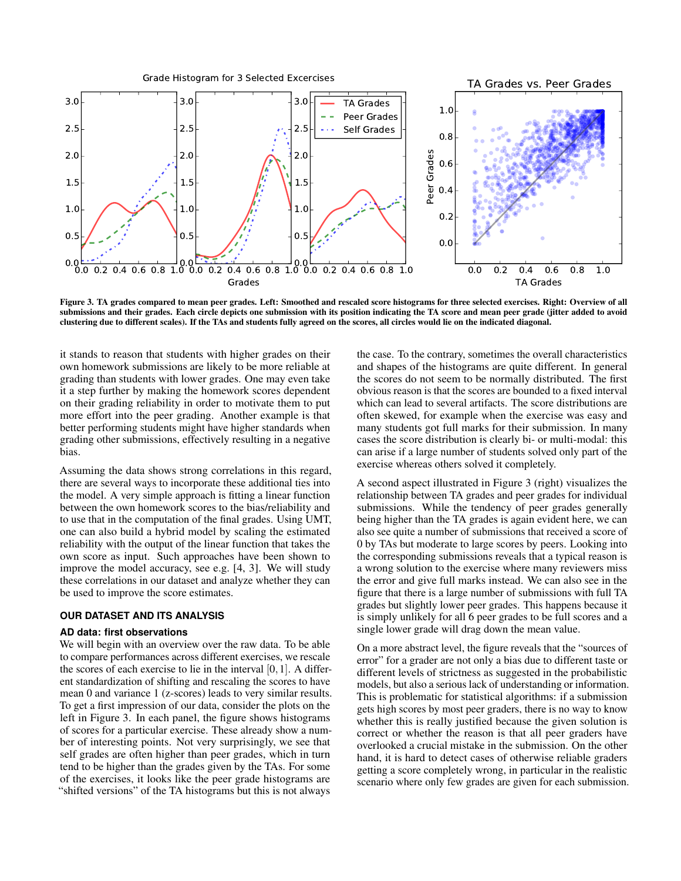

<span id="page-4-0"></span>Figure 3. TA grades compared to mean peer grades. Left: Smoothed and rescaled score histograms for three selected exercises. Right: Overview of all submissions and their grades. Each circle depicts one submission with its position indicating the TA score and mean peer grade (jitter added to avoid clustering due to different scales). If the TAs and students fully agreed on the scores, all circles would lie on the indicated diagonal.

it stands to reason that students with higher grades on their own homework submissions are likely to be more reliable at grading than students with lower grades. One may even take it a step further by making the homework scores dependent on their grading reliability in order to motivate them to put more effort into the peer grading. Another example is that better performing students might have higher standards when grading other submissions, effectively resulting in a negative bias.

Assuming the data shows strong correlations in this regard, there are several ways to incorporate these additional ties into the model. A very simple approach is fitting a linear function between the own homework scores to the bias/reliability and to use that in the computation of the final grades. Using UMT, one can also build a hybrid model by scaling the estimated reliability with the output of the linear function that takes the own score as input. Such approaches have been shown to improve the model accuracy, see e.g. [\[4,](#page-9-2) [3\]](#page-9-9). We will study these correlations in our dataset and analyze whether they can be used to improve the score estimates.

#### **OUR DATASET AND ITS ANALYSIS**

#### **AD data: first observations**

We will begin with an overview over the raw data. To be able to compare performances across different exercises, we rescale the scores of each exercise to lie in the interval  $[0,1]$ . A different standardization of shifting and rescaling the scores to have mean 0 and variance 1 (z-scores) leads to very similar results. To get a first impression of our data, consider the plots on the left in Figure [3.](#page-4-0) In each panel, the figure shows histograms of scores for a particular exercise. These already show a number of interesting points. Not very surprisingly, we see that self grades are often higher than peer grades, which in turn tend to be higher than the grades given by the TAs. For some of the exercises, it looks like the peer grade histograms are "shifted versions" of the TA histograms but this is not always

the case. To the contrary, sometimes the overall characteristics and shapes of the histograms are quite different. In general the scores do not seem to be normally distributed. The first obvious reason is that the scores are bounded to a fixed interval which can lead to several artifacts. The score distributions are often skewed, for example when the exercise was easy and many students got full marks for their submission. In many cases the score distribution is clearly bi- or multi-modal: this can arise if a large number of students solved only part of the exercise whereas others solved it completely.

A second aspect illustrated in Figure [3](#page-4-0) (right) visualizes the relationship between TA grades and peer grades for individual submissions. While the tendency of peer grades generally being higher than the TA grades is again evident here, we can also see quite a number of submissions that received a score of 0 by TAs but moderate to large scores by peers. Looking into the corresponding submissions reveals that a typical reason is a wrong solution to the exercise where many reviewers miss the error and give full marks instead. We can also see in the figure that there is a large number of submissions with full TA grades but slightly lower peer grades. This happens because it is simply unlikely for all 6 peer grades to be full scores and a single lower grade will drag down the mean value.

On a more abstract level, the figure reveals that the "sources of error" for a grader are not only a bias due to different taste or different levels of strictness as suggested in the probabilistic models, but also a serious lack of understanding or information. This is problematic for statistical algorithms: if a submission gets high scores by most peer graders, there is no way to know whether this is really justified because the given solution is correct or whether the reason is that all peer graders have overlooked a crucial mistake in the submission. On the other hand, it is hard to detect cases of otherwise reliable graders getting a score completely wrong, in particular in the realistic scenario where only few grades are given for each submission.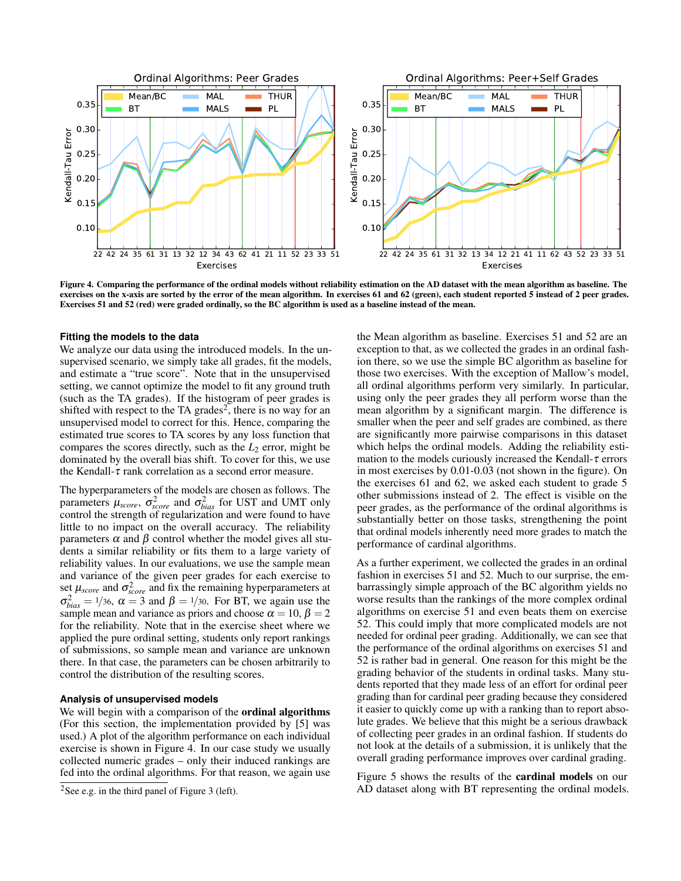

<span id="page-5-1"></span>Figure 4. Comparing the performance of the ordinal models without reliability estimation on the AD dataset with the mean algorithm as baseline. The exercises on the x-axis are sorted by the error of the mean algorithm. In exercises 61 and 62 (green), each student reported 5 instead of 2 peer grades. Exercises 51 and 52 (red) were graded ordinally, so the BC algorithm is used as a baseline instead of the mean.

#### **Fitting the models to the data**

We analyze our data using the introduced models. In the unsupervised scenario, we simply take all grades, fit the models, and estimate a "true score". Note that in the unsupervised setting, we cannot optimize the model to fit any ground truth (such as the TA grades). If the histogram of peer grades is shifted with respect to the TA grades<sup>[2](#page-5-0)</sup>, there is no way for an unsupervised model to correct for this. Hence, comparing the estimated true scores to TA scores by any loss function that compares the scores directly, such as the  $L_2$  error, might be dominated by the overall bias shift. To cover for this, we use the Kendall- $\tau$  rank correlation as a second error measure.

The hyperparameters of the models are chosen as follows. The parameters  $\mu_{score}$ ,  $\sigma_{score}^2$  and  $\sigma_{bias}^2$  for UST and UMT only control the strength of regularization and were found to have little to no impact on the overall accuracy. The reliability parameters  $\alpha$  and  $\beta$  control whether the model gives all students a similar reliability or fits them to a large variety of reliability values. In our evaluations, we use the sample mean and variance of the given peer grades for each exercise to set  $\mu_{score}$  and  $\sigma_{score}^2$  and fix the remaining hyperparameters at  $\sigma_{bias}^2 = 1/36$ ,  $\alpha = 3$  and  $\beta = 1/30$ . For BT, we again use the sample mean and variance as priors and choose  $\alpha = 10$ ,  $\beta = 2$ for the reliability. Note that in the exercise sheet where we applied the pure ordinal setting, students only report rankings of submissions, so sample mean and variance are unknown there. In that case, the parameters can be chosen arbitrarily to control the distribution of the resulting scores.

## **Analysis of unsupervised models**

We will begin with a comparison of the **ordinal algorithms** (For this section, the implementation provided by [\[5\]](#page-9-4) was used.) A plot of the algorithm performance on each individual exercise is shown in Figure [4.](#page-5-1) In our case study we usually collected numeric grades – only their induced rankings are fed into the ordinal algorithms. For that reason, we again use

the Mean algorithm as baseline. Exercises 51 and 52 are an exception to that, as we collected the grades in an ordinal fashion there, so we use the simple BC algorithm as baseline for those two exercises. With the exception of Mallow's model, all ordinal algorithms perform very similarly. In particular, using only the peer grades they all perform worse than the mean algorithm by a significant margin. The difference is smaller when the peer and self grades are combined, as there are significantly more pairwise comparisons in this dataset which helps the ordinal models. Adding the reliability estimation to the models curiously increased the Kendall- $\tau$  errors in most exercises by 0.01-0.03 (not shown in the figure). On the exercises 61 and 62, we asked each student to grade 5 other submissions instead of 2. The effect is visible on the peer grades, as the performance of the ordinal algorithms is substantially better on those tasks, strengthening the point that ordinal models inherently need more grades to match the performance of cardinal algorithms.

As a further experiment, we collected the grades in an ordinal fashion in exercises 51 and 52. Much to our surprise, the embarrassingly simple approach of the BC algorithm yields no worse results than the rankings of the more complex ordinal algorithms on exercise 51 and even beats them on exercise 52. This could imply that more complicated models are not needed for ordinal peer grading. Additionally, we can see that the performance of the ordinal algorithms on exercises 51 and 52 is rather bad in general. One reason for this might be the grading behavior of the students in ordinal tasks. Many students reported that they made less of an effort for ordinal peer grading than for cardinal peer grading because they considered it easier to quickly come up with a ranking than to report absolute grades. We believe that this might be a serious drawback of collecting peer grades in an ordinal fashion. If students do not look at the details of a submission, it is unlikely that the overall grading performance improves over cardinal grading.

Figure [5](#page-6-0) shows the results of the cardinal models on our AD dataset along with BT representing the ordinal models.

<span id="page-5-0"></span><sup>&</sup>lt;sup>2</sup>See e.g. in the third panel of Figure [3](#page-4-0) (left).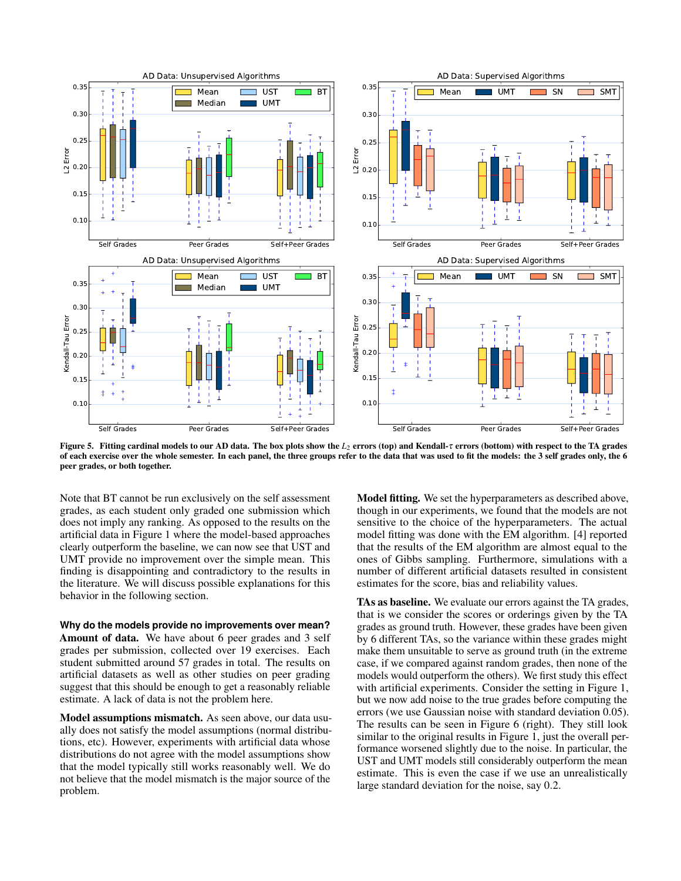

<span id="page-6-0"></span>Figure 5. Fitting cardinal models to our AD data. The box plots show the *L*<sup>2</sup> errors (top) and Kendall-τ errors (bottom) with respect to the TA grades of each exercise over the whole semester. In each panel, the three groups refer to the data that was used to fit the models: the 3 self grades only, the 6 peer grades, or both together.

Note that BT cannot be run exclusively on the self assessment grades, as each student only graded one submission which does not imply any ranking. As opposed to the results on the artificial data in Figure [1](#page-2-0) where the model-based approaches clearly outperform the baseline, we can now see that UST and UMT provide no improvement over the simple mean. This finding is disappointing and contradictory to the results in the literature. We will discuss possible explanations for this behavior in the following section.

**Why do the models provide no improvements over mean?** Amount of data. We have about 6 peer grades and 3 self grades per submission, collected over 19 exercises. Each student submitted around 57 grades in total. The results on artificial datasets as well as other studies on peer grading suggest that this should be enough to get a reasonably reliable estimate. A lack of data is not the problem here.

Model assumptions mismatch. As seen above, our data usually does not satisfy the model assumptions (normal distributions, etc). However, experiments with artificial data whose distributions do not agree with the model assumptions show that the model typically still works reasonably well. We do not believe that the model mismatch is the major source of the problem.

Model fitting. We set the hyperparameters as described above, though in our experiments, we found that the models are not sensitive to the choice of the hyperparameters. The actual model fitting was done with the EM algorithm. [\[4\]](#page-9-2) reported that the results of the EM algorithm are almost equal to the ones of Gibbs sampling. Furthermore, simulations with a number of different artificial datasets resulted in consistent estimates for the score, bias and reliability values.

TAs as baseline. We evaluate our errors against the TA grades, that is we consider the scores or orderings given by the TA grades as ground truth. However, these grades have been given by 6 different TAs, so the variance within these grades might make them unsuitable to serve as ground truth (in the extreme case, if we compared against random grades, then none of the models would outperform the others). We first study this effect with artificial experiments. Consider the setting in Figure [1,](#page-2-0) but we now add noise to the true grades before computing the errors (we use Gaussian noise with standard deviation 0.05). The results can be seen in Figure [6](#page-7-0) (right). They still look similar to the original results in Figure [1,](#page-2-0) just the overall performance worsened slightly due to the noise. In particular, the UST and UMT models still considerably outperform the mean estimate. This is even the case if we use an unrealistically large standard deviation for the noise, say 0.2.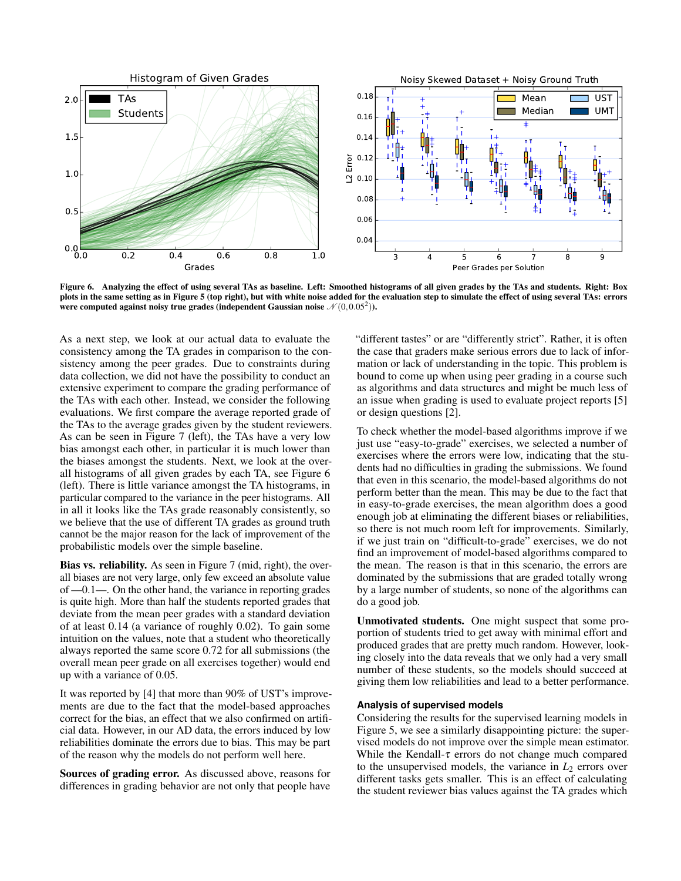

<span id="page-7-0"></span>Figure 6. Analyzing the effect of using several TAs as baseline. Left: Smoothed histograms of all given grades by the TAs and students. Right: Box plots in the same setting as in Figure [5](#page-6-0) (top right), but with white noise added for the evaluation step to simulate the effect of using several TAs: errors were computed against noisy true grades (independent Gaussian noise  $\mathcal{N}(0,0.05^2)$ ).

As a next step, we look at our actual data to evaluate the consistency among the TA grades in comparison to the consistency among the peer grades. Due to constraints during data collection, we did not have the possibility to conduct an extensive experiment to compare the grading performance of the TAs with each other. Instead, we consider the following evaluations. We first compare the average reported grade of the TAs to the average grades given by the student reviewers. As can be seen in Figure [7](#page-8-0) (left), the TAs have a very low bias amongst each other, in particular it is much lower than the biases amongst the students. Next, we look at the overall histograms of all given grades by each TA, see Figure [6](#page-7-0) (left). There is little variance amongst the TA histograms, in particular compared to the variance in the peer histograms. All in all it looks like the TAs grade reasonably consistently, so we believe that the use of different TA grades as ground truth cannot be the major reason for the lack of improvement of the probabilistic models over the simple baseline.

Bias vs. reliability. As seen in Figure [7](#page-8-0) (mid, right), the overall biases are not very large, only few exceed an absolute value of —0.1—. On the other hand, the variance in reporting grades is quite high. More than half the students reported grades that deviate from the mean peer grades with a standard deviation of at least 0.14 (a variance of roughly 0.02). To gain some intuition on the values, note that a student who theoretically always reported the same score 0.72 for all submissions (the overall mean peer grade on all exercises together) would end up with a variance of 0.05.

It was reported by [\[4\]](#page-9-2) that more than 90% of UST's improvements are due to the fact that the model-based approaches correct for the bias, an effect that we also confirmed on artificial data. However, in our AD data, the errors induced by low reliabilities dominate the errors due to bias. This may be part of the reason why the models do not perform well here.

Sources of grading error. As discussed above, reasons for differences in grading behavior are not only that people have

"different tastes" or are "differently strict". Rather, it is often the case that graders make serious errors due to lack of information or lack of understanding in the topic. This problem is bound to come up when using peer grading in a course such as algorithms and data structures and might be much less of an issue when grading is used to evaluate project reports [\[5\]](#page-9-4) or design questions [\[2\]](#page-9-1).

To check whether the model-based algorithms improve if we just use "easy-to-grade" exercises, we selected a number of exercises where the errors were low, indicating that the students had no difficulties in grading the submissions. We found that even in this scenario, the model-based algorithms do not perform better than the mean. This may be due to the fact that in easy-to-grade exercises, the mean algorithm does a good enough job at eliminating the different biases or reliabilities, so there is not much room left for improvements. Similarly, if we just train on "difficult-to-grade" exercises, we do not find an improvement of model-based algorithms compared to the mean. The reason is that in this scenario, the errors are dominated by the submissions that are graded totally wrong by a large number of students, so none of the algorithms can do a good job.

Unmotivated students. One might suspect that some proportion of students tried to get away with minimal effort and produced grades that are pretty much random. However, looking closely into the data reveals that we only had a very small number of these students, so the models should succeed at giving them low reliabilities and lead to a better performance.

### **Analysis of supervised models**

Considering the results for the supervised learning models in Figure [5,](#page-6-0) we see a similarly disappointing picture: the supervised models do not improve over the simple mean estimator. While the Kendall- $\tau$  errors do not change much compared to the unsupervised models, the variance in  $L<sub>2</sub>$  errors over different tasks gets smaller. This is an effect of calculating the student reviewer bias values against the TA grades which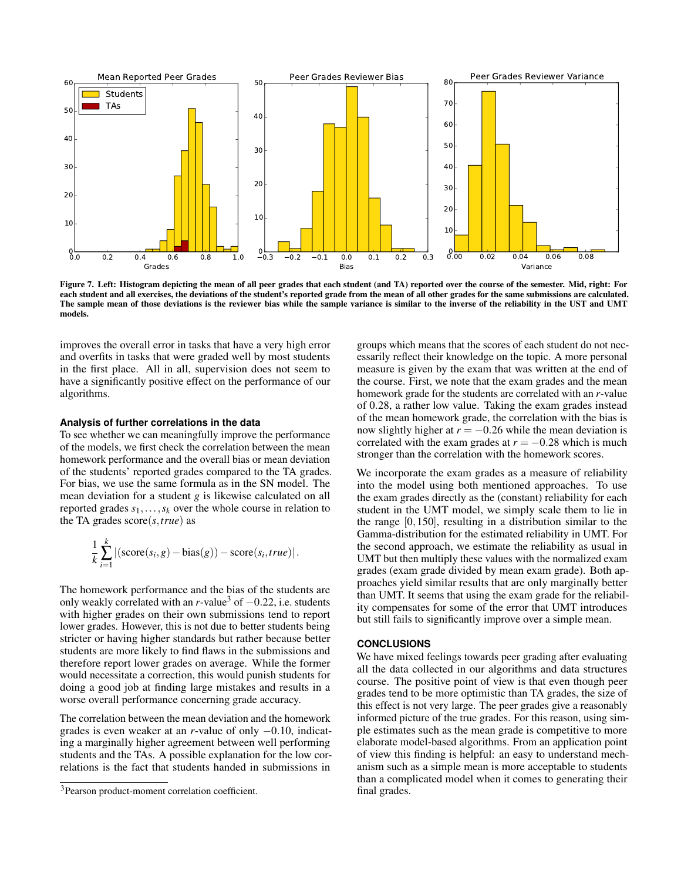

<span id="page-8-0"></span>Figure 7. Left: Histogram depicting the mean of all peer grades that each student (and TA) reported over the course of the semester. Mid, right: For each student and all exercises, the deviations of the student's reported grade from the mean of all other grades for the same submissions are calculated. The sample mean of those deviations is the reviewer bias while the sample variance is similar to the inverse of the reliability in the UST and UMT models.

improves the overall error in tasks that have a very high error and overfits in tasks that were graded well by most students in the first place. All in all, supervision does not seem to have a significantly positive effect on the performance of our algorithms.

#### **Analysis of further correlations in the data**

To see whether we can meaningfully improve the performance of the models, we first check the correlation between the mean homework performance and the overall bias or mean deviation of the students' reported grades compared to the TA grades. For bias, we use the same formula as in the SN model. The mean deviation for a student *g* is likewise calculated on all reported grades  $s_1, \ldots, s_k$  over the whole course in relation to the TA grades score(*s*,*true*) as

$$
\frac{1}{k}\sum_{i=1}^{k} |(\text{score}(s_i, g) - \text{bias}(g)) - \text{score}(s_i, true)|.
$$

The homework performance and the bias of the students are only weakly correlated with an  $r$ -value<sup>[3](#page-8-1)</sup> of  $-0.22$ , i.e. students with higher grades on their own submissions tend to report lower grades. However, this is not due to better students being stricter or having higher standards but rather because better students are more likely to find flaws in the submissions and therefore report lower grades on average. While the former would necessitate a correction, this would punish students for doing a good job at finding large mistakes and results in a worse overall performance concerning grade accuracy.

The correlation between the mean deviation and the homework grades is even weaker at an *r*-value of only −0.10, indicating a marginally higher agreement between well performing students and the TAs. A possible explanation for the low correlations is the fact that students handed in submissions in

groups which means that the scores of each student do not necessarily reflect their knowledge on the topic. A more personal measure is given by the exam that was written at the end of the course. First, we note that the exam grades and the mean homework grade for the students are correlated with an *r*-value of 0.28, a rather low value. Taking the exam grades instead of the mean homework grade, the correlation with the bias is now slightly higher at  $r = -0.26$  while the mean deviation is correlated with the exam grades at  $r = -0.28$  which is much stronger than the correlation with the homework scores.

We incorporate the exam grades as a measure of reliability into the model using both mentioned approaches. To use the exam grades directly as the (constant) reliability for each student in the UMT model, we simply scale them to lie in the range [0,150], resulting in a distribution similar to the Gamma-distribution for the estimated reliability in UMT. For the second approach, we estimate the reliability as usual in UMT but then multiply these values with the normalized exam grades (exam grade divided by mean exam grade). Both approaches yield similar results that are only marginally better than UMT. It seems that using the exam grade for the reliability compensates for some of the error that UMT introduces but still fails to significantly improve over a simple mean.

#### **CONCLUSIONS**

We have mixed feelings towards peer grading after evaluating all the data collected in our algorithms and data structures course. The positive point of view is that even though peer grades tend to be more optimistic than TA grades, the size of this effect is not very large. The peer grades give a reasonably informed picture of the true grades. For this reason, using simple estimates such as the mean grade is competitive to more elaborate model-based algorithms. From an application point of view this finding is helpful: an easy to understand mechanism such as a simple mean is more acceptable to students than a complicated model when it comes to generating their final grades.

<span id="page-8-1"></span><sup>3</sup>Pearson product-moment correlation coefficient.